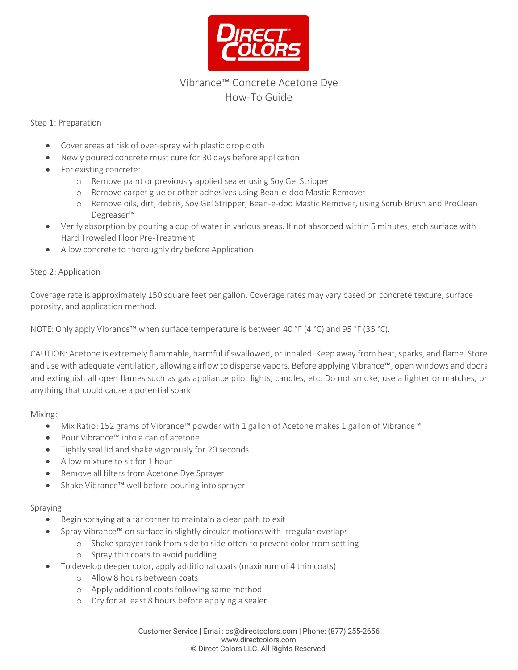

# Vibrance™ Concrete Acetone Dye How-To Guide

Step 1: Preparation

- Cover areas at risk of over-spray with plastic drop cloth
- Newly poured concrete must cure for 30 days before application
- For existing concrete:
	- o Remove paint or previously applied sealer using Soy Gel Stripper
	- o Remove carpet glue or other adhesives using Bean-e-doo Mastic Remover
	- o Remove oils, dirt, debris, Soy Gel Stripper, Bean-e-doo Mastic Remover, using Scrub Brush and ProClean Degreaser™
- Verify absorption by pouring a cup of water in various areas. If not absorbed within 5 minutes, etch surface with Hard Troweled Floor Pre-Treatment
- Allow concrete to thoroughly dry before Application

#### Step 2: Application

Coverage rate is approximately 150 square feet per gallon. Coverage rates may vary based on concrete texture, surface porosity, and application method.

NOTE: Only apply Vibrance™ when surface temperature is between 40 °F (4 °C) and 95 °F (35 °C).

CAUTION: Acetone is extremely flammable, harmful if swallowed, or inhaled. Keep away from heat, sparks, and flame. Store and use with adequate ventilation, allowing airflowto disperse vapors. Before applying Vibrance™, open windows and doors and extinguish all open flames such as gas appliance pilot lights, candles, etc. Do not smoke, use a lighter or matches, or anything that could cause a potential spark.

Mixing:

- Mix Ratio: 152 grams of Vibrance™ powder with 1 gallon of Acetone makes 1 gallon of Vibrance™
- Pour Vibrance™ into a can of acetone
- Tightly seal lid and shake vigorously for 20 seconds
- Allow mixture to sit for 1 hour
- Remove all filters from Acetone Dye Sprayer
- Shake Vibrance™ well before pouring into sprayer

#### Spraying:

- Begin spraying at a far corner to maintain a clear path to exit
- Spray Vibrance™ on surface in slightly circular motions with irregular overlaps
	- o Shake sprayer tank from side to side often to prevent color from settling
	- o Spray thin coats to avoid puddling
- To develop deeper color, apply additional coats (maximum of 4 thin coats)
	- o Allow 8 hours between coats
	- o Apply additional coatsfollowing same method
	- o Dry for at least 8 hours before applying a sealer

Customer Service | Email: [cs@directcolors.com](mailto:cs@directcolors.com) | Phone: (877) 255-2656 [www.directcolors.com](http://www.directcolors.com/) © Direct Colors LLC. All Rights Reserved.